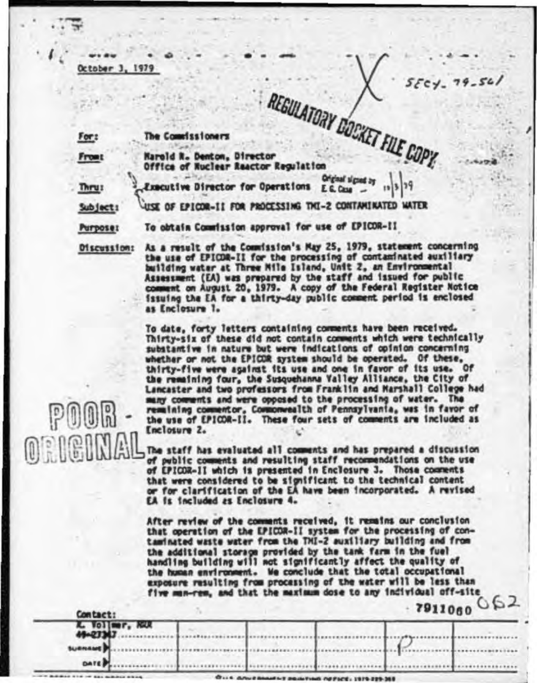For:

The Commissioners

**From** 

REGULATORY DOCKET FILE COPY. **Marold R. Denton, Director** Office of Nuclear Reactor Regulation

Thrus

Original signed by Executive Director for Operations  $E. G. G.$ 

USE OF EPICOR-II FOR PROCESSING THI-2 CONTAMINATED WATER Subject:

**Purpose:** 

 $\left| \begin{smallmatrix} 0 \\ 1 \end{smallmatrix} \right|$ 

To obtain Commission approval for use of EPICOR-II

As a result of the Commission's May 25, 1979, statement concerning Discussion: the use of EPICOR-II for the processing of contaminated auxiliary building water at Three Mile Island, Unit 2, an Environmental Assessment (EA) was prepared by the staff and issued for public comment on August 20, 1979. A copy of the Federal Register Notice issuing the EA for a thirty-day public comment period is enclosed as Enclosure 1.

> To date, forty letters containing comments have been received. Thirty-six of these did not contain comments which were technically substantive in nature but were indications of opinion concerning whether or not the EPICOR system should be operated. Of these, thirty-five were against its use and one in favor of its use. Of the remaining four, the Susquehanna Valley Alliance, the City of Lancaster and two professors from Franklin and Marshall College had many comments and were opposed to the processing of water. The remaining commentor, Commonwealth of Pennsylvania, was in favor of the use of EPICOR-II. These four sets of comments are included as Enclosure 2.

The staff has evaluated all comments and has prepared a discussion of public comments and resulting staff recommendations on the use of EPICOR-II which is presented in Enclosure 3. Those comments that were considered to be significant to the technical content<br>or for clarification of the EA have been incorporated. A revised EA is included as Enclosure 4.

After review of the comments received, it remains our conclusion that operation of the EPICOR-II system for the processing of contaminated waste water from the THI-2 auxiliary building and from the additional storage provided by the tank farm in the fuel handling building will not significantly affect the quality of the human environment. We conclude that the total occupational exposure resulting from processing of the water will be less than five man-rem, and that the maximum dose to any individual off-site  $7911000062$ 

|                                    | <b>COM CACT:</b>         |  |  | -----                                                        |  |  |  |
|------------------------------------|--------------------------|--|--|--------------------------------------------------------------|--|--|--|
| <b>K. Vollmer, RGU</b><br>49-23343 |                          |  |  |                                                              |  |  |  |
| suenaue b.                         |                          |  |  |                                                              |  |  |  |
| <b>DATE</b>                        |                          |  |  |                                                              |  |  |  |
| _____________                      | $\overline{\phantom{a}}$ |  |  | The country of the property of the country of the country of |  |  |  |